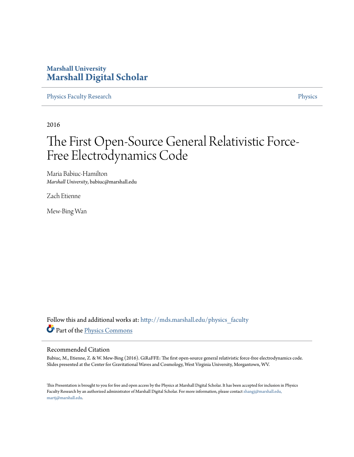#### **Marshall University [Marshall Digital Scholar](http://mds.marshall.edu?utm_source=mds.marshall.edu%2Fphysics_faculty%2F69&utm_medium=PDF&utm_campaign=PDFCoverPages)**

[Physics Faculty Research](http://mds.marshall.edu/physics_faculty?utm_source=mds.marshall.edu%2Fphysics_faculty%2F69&utm_medium=PDF&utm_campaign=PDFCoverPages) **[Physics](http://mds.marshall.edu/physics?utm_source=mds.marshall.edu%2Fphysics_faculty%2F69&utm_medium=PDF&utm_campaign=PDFCoverPages)** 

2016

#### The First Open-Source General Relativistic Force-Free Electrodynamics Code

Maria Babiuc-Hamilton *Marshall University*, babiuc@marshall.edu

Zach Etienne

Mew-Bing Wan

Follow this and additional works at: [http://mds.marshall.edu/physics\\_faculty](http://mds.marshall.edu/physics_faculty?utm_source=mds.marshall.edu%2Fphysics_faculty%2F69&utm_medium=PDF&utm_campaign=PDFCoverPages) Part of the [Physics Commons](http://network.bepress.com/hgg/discipline/193?utm_source=mds.marshall.edu%2Fphysics_faculty%2F69&utm_medium=PDF&utm_campaign=PDFCoverPages)

#### Recommended Citation

Babiuc, M., Etienne, Z. & W. Mew-Bing (2016). GiRaFFE: The first open-source general relativistic force-free electrodynamics code. Slides presented at the Center for Gravitational Waves and Cosmology, West Virginia University, Morgantown, WV.

This Presentation is brought to you for free and open access by the Physics at Marshall Digital Scholar. It has been accepted for inclusion in Physics Faculty Research by an authorized administrator of Marshall Digital Scholar. For more information, please contact [zhangj@marshall.edu,](mailto:zhangj@marshall.edu,%20martj@marshall.edu) [martj@marshall.edu](mailto:zhangj@marshall.edu,%20martj@marshall.edu).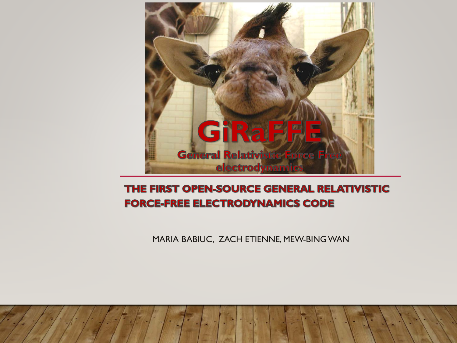

#### THE FIRST OPEN-SOURCE GENERAL RELATIVISTIC **FORCE-FREE ELECTRODYNAMICS CODE**

MARIA BABIUC, ZACH ETIENNE, MEW-BING WAN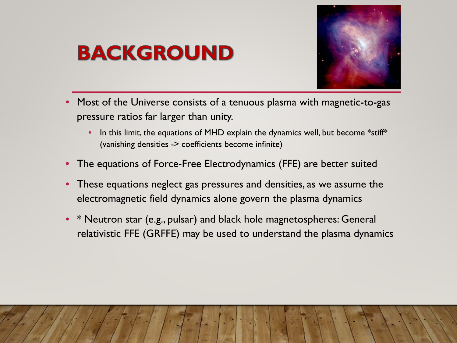# **BACKGROUND**



- Most of the Universe consists of a tenuous plasma with magnetic-to-gas pressure ratios far larger than unity.
	- In this limit, the equations of MHD explain the dynamics well, but become \*stiff\* (vanishing densities -> coefficients become infinite)
- The equations of Force-Free Electrodynamics (FFE) are better suited
- These equations neglect gas pressures and densities, as we assume the electromagnetic field dynamics alone govern the plasma dynamics
- \* Neutron star (e.g., pulsar) and black hole magnetospheres: General relativistic FFE (GRFFE) may be used to understand the plasma dynamics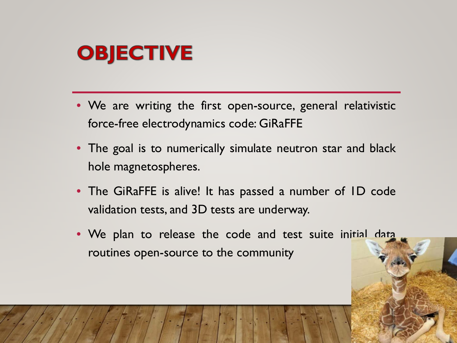# **OBJECTIVE**

- We are writing the first open-source, general relativistic force-free electrodynamics code: GiRaFFE
- The goal is to numerically simulate neutron star and black hole magnetospheres.
- The GiRaFFE is alive! It has passed a number of ID code validation tests, and 3D tests are underway.
- We plan to release the code and test suite initial data routines open-source to the community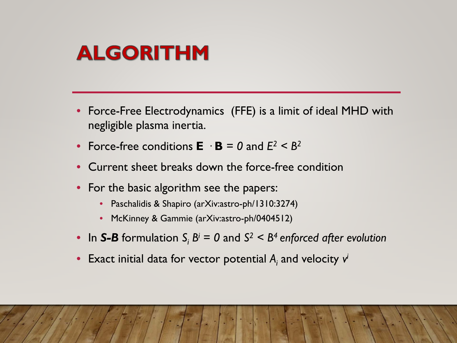# **ALGORITHM**

- Force-Free Electrodynamics (FFE) is a limit of ideal MHD with negligible plasma inertia.
- Force-free conditions  $\mathbf{E} \cdot \mathbf{B} = 0$  and  $E^2 \leq B^2$
- Current sheet breaks down the force-free condition
- For the basic algorithm see the papers:
	- Paschalidis & Shapiro (arXiv:astro-ph/1310:3274)
	- McKinney & Gammie (arXiv:astro-ph/0404512)
- In S-B formulation  $S_i B^i = 0$  and  $S^2 < B^4$  enforced after evolution
- Exact initial data for vector potential *Ai* and velocity *vi*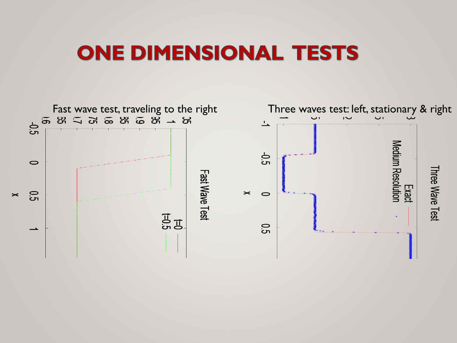#### **ONE DIMENSIONAL TESTS**

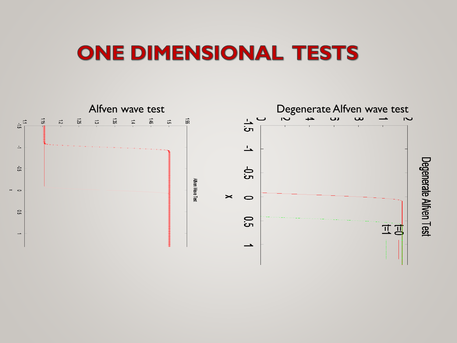#### **ONE DIMENSIONAL TESTS**